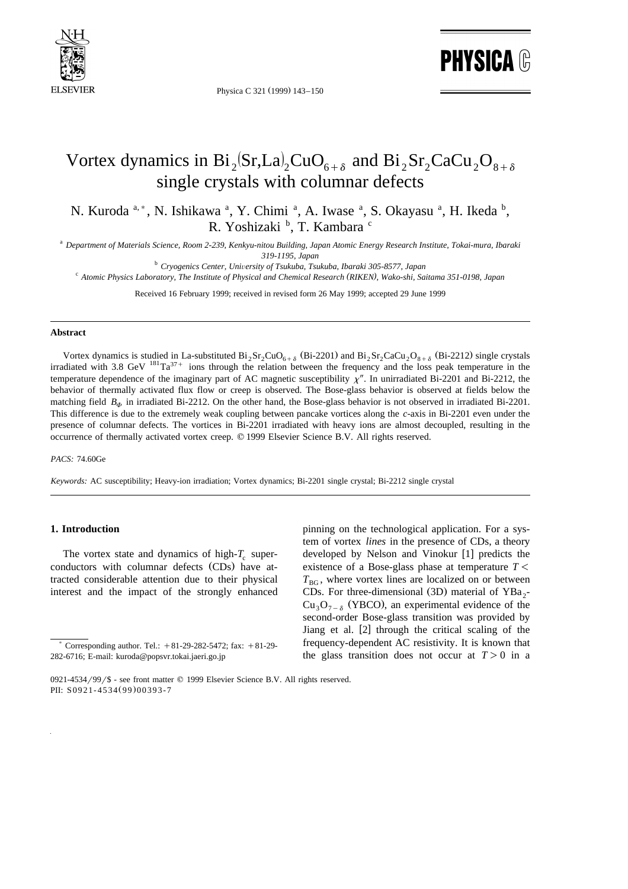

Physica C 321 (1999) 143-150

**PHYSICA ®** 

# Vortex dynamics in  $Bi_2Sr, La_2CuO_{6+\delta}$  and  $Bi_2Sr_2CaCu_2O_{8+\delta}$ single crystals with columnar defects

N. Kuroda <sup>a, \*</sup>, N. Ishikawa <sup>a</sup>, Y. Chimi <sup>a</sup>, A. Iwase <sup>a</sup>, S. Okayasu <sup>a</sup>, H. Ikeda <sup>b</sup>, R. Yoshizaki <sup>b</sup>, T. Kambara <sup>c</sup>

<sup>a</sup> *Department of Materials Science, Room 2-239, Kenkyu-nitou Building, Japan Atomic Energy Research Institute, Tokai-mura, Ibaraki*

319-1195, Japan<br><sup>b</sup> Cryogenics Center, University of Tsukuba, Tsukuba, Ibaraki 305-8577, Japan<br>Atomic Physics Laboratory, The Institute of Physical and Chemical Research (RIKEN), Wako-shi, Saitama 351-0198, Japan

Received 16 February 1999; received in revised form 26 May 1999; accepted 29 June 1999

#### **Abstract**

Vortex dynamics is studied in La-substituted  $Bi_2Sr_2CuO_{6+\delta}$  (Bi-2201) and  $Bi_2Sr_2CaCu_2O_{8+\delta}$  (Bi-2212) single crystals irradiated with 3.8 GeV  $^{181}$ Ta<sup>37+</sup> ions through the relation between the frequency and the loss peak temperature in the temperature dependence of the imaginary part of AC magnetic susceptibility  $\chi''$ . In unirradiated Bi-2201 and Bi-2212, the behavior of thermally activated flux flow or creep is observed. The Bose-glass behavior is observed at fields below the matching field  $B_{\phi}$  in irradiated Bi-2212. On the other hand, the Bose-glass behavior is not observed in irradiated Bi-2201. This difference is due to the extremely weak coupling between pancake vortices along the *c*-axis in Bi-2201 even under the presence of columnar defects. The vortices in Bi-2201 irradiated with heavy ions are almost decoupled, resulting in the occurrence of thermally activated vortex creep. q 1999 Elsevier Science B.V. All rights reserved.

#### *PACS:* 74.60Ge

*Keywords:* AC susceptibility; Heavy-ion irradiation; Vortex dynamics; Bi-2201 single crystal; Bi-2212 single crystal

## **1. Introduction**

The vortex state and dynamics of high- $T_c$  superconductors with columnar defects (CDs) have attracted considerable attention due to their physical interest and the impact of the strongly enhanced

pinning on the technological application. For a system of vortex *lines* in the presence of CDs, a theory developed by Nelson and Vinokur [1] predicts the existence of a Bose-glass phase at temperature  $T <$  $T_{BG}$ , where vortex lines are localized on or between CDs. For three-dimensional (3D) material of  $YBa<sub>2</sub>$ - $Cu<sub>3</sub>O<sub>7-δ</sub>$  (YBCO), an experimental evidence of the second-order Bose-glass transition was provided by Jiang et al.  $[2]$  through the critical scaling of the frequency-dependent AC resistivity. It is known that the glass transition does not occur at  $T > 0$  in a

Corresponding author. Tel.:  $+81-29-282-5472$ ; fax:  $+81-29-$ 282-6716; E-mail: kuroda@popsvr.tokai.jaeri.go.jp

<sup>0921-4534/99/\$ -</sup> see front matter  $\odot$  1999 Elsevier Science B.V. All rights reserved. PII: S0921-4534(99)00393-7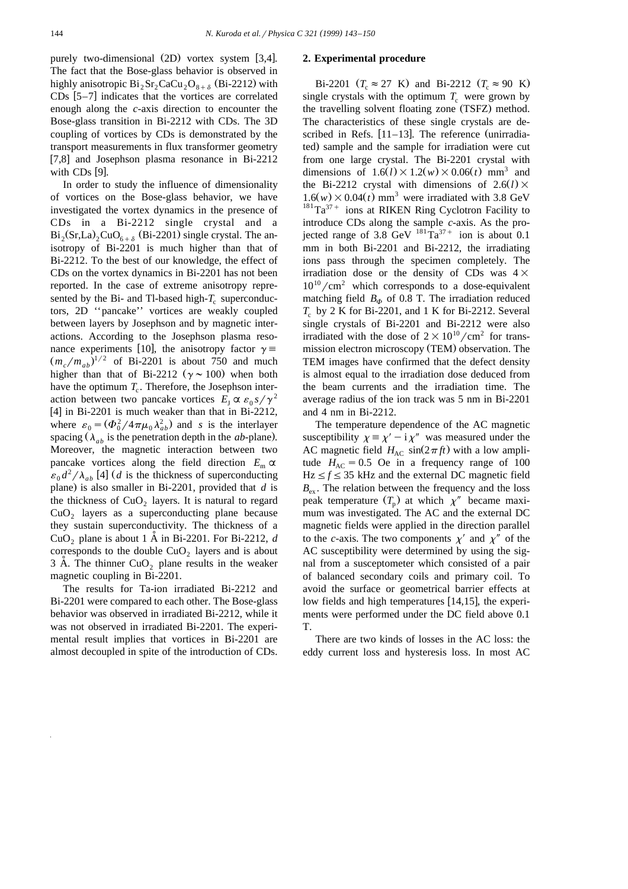purely two-dimensional  $(2D)$  vortex system [3,4]. The fact that the Bose-glass behavior is observed in highly anisotropic  $Bi_2Sr_2CaCu_2O_{8+\delta}$  (Bi-2212) with CDs  $[5-7]$  indicates that the vortices are correlated enough along the *c*-axis direction to encounter the Bose-glass transition in Bi-2212 with CDs. The 3D coupling of vortices by CDs is demonstrated by the transport measurements in flux transformer geometry  $\begin{bmatrix} 7,8 \end{bmatrix}$  and Josephson plasma resonance in Bi-2212 with  $CDs$  [9].

In order to study the influence of dimensionality of vortices on the Bose-glass behavior, we have investigated the vortex dynamics in the presence of CDs in a Bi-2212 single crystal and a  $Bi_2(Sr, La)_2CuO_{6+\delta}$  (Bi-2201) single crystal. The anisotropy of Bi-2201 is much higher than that of Bi-2212. To the best of our knowledge, the effect of CDs on the vortex dynamics in Bi-2201 has not been reported. In the case of extreme anisotropy represented by the Bi- and Tl-based high- $T_c$  superconductors, 2D ''pancake'' vortices are weakly coupled between layers by Josephson and by magnetic interactions. According to the Josephson plasma resonance experiments [10], the anisotropy factor  $\gamma =$  $(m_e/m_{ab})^{1/2}$  of Bi-2201 is about 750 and much higher than that of Bi-2212 ( $\gamma \sim 100$ ) when both have the optimum  $T_c$ . Therefore, the Josephson interaction between two pancake vortices  $E_I \propto \varepsilon_0 s / \gamma^2$ [4] in Bi-2201 is much weaker than that in Bi-2212, where  $\varepsilon_0 = (\Phi_0^2 / 4 \pi \mu_0 \lambda_{ab}^2)$  and *s* is the interlayer spacing  $(\lambda_{ab}$  is the penetration depth in the *ab*-plane). Moreover, the magnetic interaction between two pancake vortices along the field direction  $E_{\text{m}} \propto \varepsilon_0 d^2 / \lambda_{ab}$  [4] (*d* is the thickness of superconducting plane) is also smaller in Bi-2201, provided that  $d$  is the thickness of  $CuO<sub>2</sub>$  layers. It is natural to regard  $CuO<sub>2</sub>$  layers as a superconducting plane because they sustain superconductivity. The thickness of a CuO<sub>2</sub> plane is about 1 A in Bi-2201. For Bi-2212,  $d$ corresponds to the double  $CuO<sub>2</sub>$  layers and is about  $3$  Å. The thinner CuO<sub>2</sub> plane results in the weaker magnetic coupling in Bi-2201.

The results for Ta-ion irradiated Bi-2212 and Bi-2201 were compared to each other. The Bose-glass behavior was observed in irradiated Bi-2212, while it was not observed in irradiated Bi-2201. The experimental result implies that vortices in Bi-2201 are almost decoupled in spite of the introduction of CDs.

#### **2. Experimental procedure**

Bi-2201  $(T_c \approx 27 \text{ K})$  and Bi-2212  $(T_c \approx 90 \text{ K})$ single crystals with the optimum  $T_c$  were grown by the travelling solvent floating zone (TSFZ) method. The characteristics of these single crystals are described in Refs.  $[11-13]$ . The reference (unirradiated) sample and the sample for irradiation were cut from one large crystal. The Bi-2201 crystal with dimensions of  $1.6(l) \times 1.2(w) \times 0.06(t)$  mm<sup>3</sup> and the Bi-2212 crystal with dimensions of  $2.6(l) \times$  $1.6(w) \times 0.04(t)$  mm<sup>3</sup> were irradiated with 3.8 GeV<br><sup>181</sup>Ta<sup>37+</sup> ions at RIKEN Ring Cyclotron Facility to introduce CDs along the sample *c*-axis. As the projected range of 3.8 GeV  $181 \text{ Ta}^{37+}$  ion is about 0.1 mm in both Bi-2201 and Bi-2212, the irradiating ions pass through the specimen completely. The irradiation dose or the density of CDs was  $4\times$  $10^{10}/\text{cm}^2$  which corresponds to a dose-equivalent matching field  $B_{\phi}$  of 0.8 T. The irradiation reduced  $T_c$  by 2 K for Bi-2201, and 1 K for Bi-2212. Several single crystals of Bi-2201 and Bi-2212 were also irradiated with the dose of  $2\times10^{10}/\text{cm}^2$  for transmission electron microscopy (TEM) observation. The TEM images have confirmed that the defect density is almost equal to the irradiation dose deduced from the beam currents and the irradiation time. The average radius of the ion track was 5 nm in Bi-2201 and 4 nm in Bi-2212.

The temperature dependence of the AC magnetic susceptibility  $\chi = \chi' - i \chi''$  was measured under the AC magnetic field  $H_{AC}$   $sin(2\pi ft)$  with a low amplitude  $H_{AC} = 0.5$  Oe in a frequency range of 100  $Hz \le f \le 35$  kHz and the external DC magnetic field  $B_{\text{ex}}$ . The relation between the frequency and the loss peak temperature  $(T_p)$  at which  $\chi''$  became maximum was investigated. The AC and the external DC magnetic fields were applied in the direction parallel to the *c*-axis. The two components  $\chi'$  and  $\chi''$  of the AC susceptibility were determined by using the signal from a susceptometer which consisted of a pair of balanced secondary coils and primary coil. To avoid the surface or geometrical barrier effects at low fields and high temperatures  $[14,15]$ , the experiments were performed under the DC field above 0.1 T.

There are two kinds of losses in the AC loss: the eddy current loss and hysteresis loss. In most AC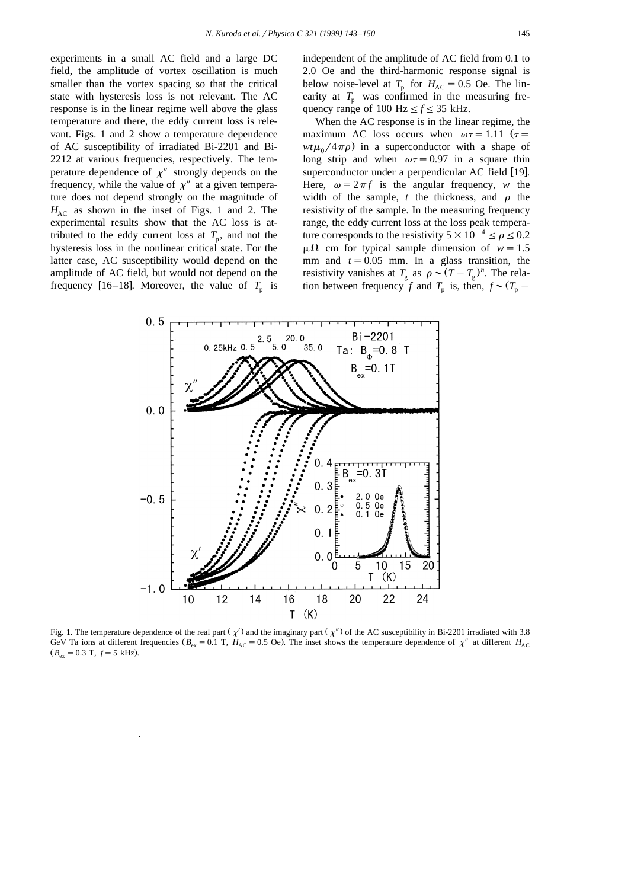experiments in a small AC field and a large DC field, the amplitude of vortex oscillation is much smaller than the vortex spacing so that the critical state with hysteresis loss is not relevant. The AC response is in the linear regime well above the glass temperature and there, the eddy current loss is relevant. Figs. 1 and 2 show a temperature dependence of AC susceptibility of irradiated Bi-2201 and Bi-2212 at various frequencies, respectively. The temperature dependence of  $\chi''$  strongly depends on the frequency, while the value of  $\chi''$  at a given temperature does not depend strongly on the magnitude of  $H_{AC}$  as shown in the inset of Figs. 1 and 2. The experimental results show that the AC loss is attributed to the eddy current loss at  $T_p$ , and not the hysteresis loss in the nonlinear critical state. For the latter case, AC susceptibility would depend on the amplitude of AC field, but would not depend on the frequency [16–18]. Moreover, the value of  $T_p$  is independent of the amplitude of AC field from 0.1 to 2.0 Oe and the third-harmonic response signal is below noise-level at  $T_p$  for  $H_{AC} = 0.5$  Oe. The linearity at  $T_p$  was confirmed in the measuring frequency range of 100 Hz  $\leq f \leq 35$  kHz.

When the AC response is in the linear regime, the maximum AC loss occurs when  $\omega \tau = 1.11$   $(\tau =$  $wt\mu_0/4\pi\rho$  in a superconductor with a shape of long strip and when  $\omega \tau = 0.97$  in a square thin superconductor under a perpendicular AC field [19]. Here,  $\omega = 2\pi f$  is the angular frequency, *w* the width of the sample,  $t$  the thickness, and  $\rho$  the resistivity of the sample. In the measuring frequency range, the eddy current loss at the loss peak temperature corresponds to the resistivity  $5\times10^{-4} \le \rho \le 0.2$  $\mu\Omega$  cm for typical sample dimension of  $w=1.5$ mm and  $t = 0.05$  mm. In a glass transition, the resistivity vanishes at  $T_g$  as  $\rho \sim (T - T_g)^n$ . The relation between frequency *f* and  $T_p$  is, then,  $f \sim (T_p -$ 



Fig. 1. The temperature dependence of the real part  $(\chi')$  and the imaginary part  $(\chi'')$  of the AC susceptibility in Bi-2201 irradiated with 3.8 GeV Ta ions at different frequencies ( $B_{\text{ex}} = 0.1$  T,  $H_{\text{AC}} = 0.5$  Oe). The inset shows the temperature dependence of  $\chi''$  at different  $H_{\text{AC}}$  $B_{\text{ex}} = 0.3$  T,  $f = 5$  kHz).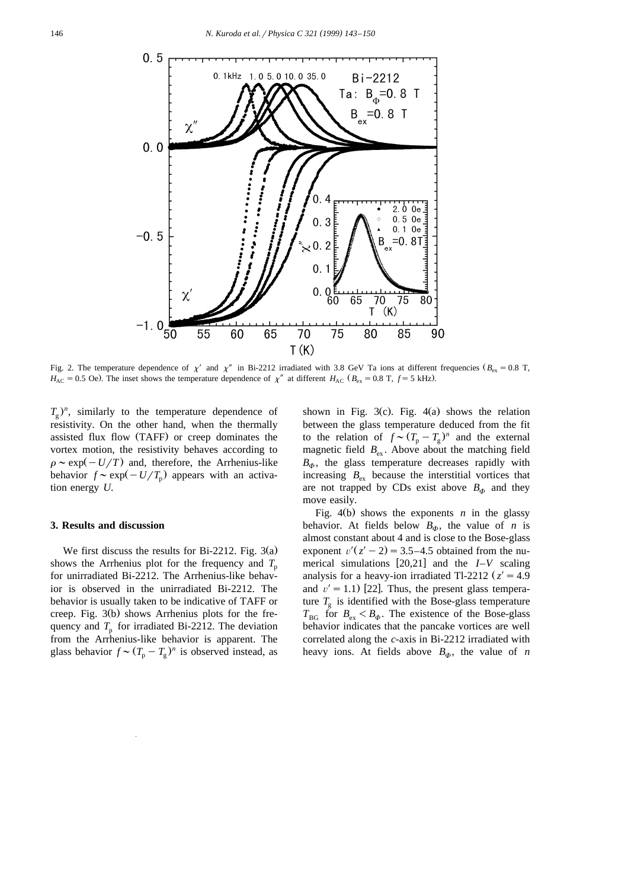

Fig. 2. The temperature dependence of  $\chi'$  and  $\chi''$  in Bi-2212 irradiated with 3.8 GeV Ta ions at different frequencies ( $B_{\text{ex}} = 0.8$  T,  $H_{AC} = 0.5$  Oe). The inset shows the temperature dependence of  $\chi''$  at different  $H_{AC}$  ( $B_{ex} = 0.8$  T,  $f = 5$  kHz).

 $T<sub>a</sub>$ )<sup>n</sup>, similarly to the temperature dependence of resistivity. On the other hand, when the thermally assisted flux flow (TAFF) or creep dominates the vortex motion, the resistivity behaves according to  $\rho \sim \exp(-U/T)$  and, therefore, the Arrhenius-like behavior  $f \sim \exp(-U/T_p)$  appears with an activation energy *U*.

#### **3. Results and discussion**

We first discuss the results for Bi-2212. Fig.  $3(a)$ shows the Arrhenius plot for the frequency and  $T_p$ for unirradiated Bi-2212. The Arrhenius-like behavior is observed in the unirradiated Bi-2212. The behavior is usually taken to be indicative of TAFF or creep. Fig.  $3(b)$  shows Arrhenius plots for the frequency and  $T_p$  for irradiated Bi-2212. The deviation from the Arrhenius-like behavior is apparent. The glass behavior  $f \sim (T_p - T_g)^n$  is observed instead, as

shown in Fig. 3(c). Fig. 4(a) shows the relation between the glass temperature deduced from the fit to the relation of  $f \sim (T_p - T_g)^n$  and the external magnetic field  $B_{ex}$ . Above about the matching field  $B_{\phi}$ , the glass temperature decreases rapidly with increasing  $B_{\rm ex}$  because the interstitial vortices that are not trapped by CDs exist above  $B_{\Phi}$  and they move easily.

Fig.  $4(b)$  shows the exponents *n* in the glassy behavior. At fields below  $B_{\phi}$ , the value of *n* is almost constant about 4 and is close to the Bose-glass <sup>X</sup> exponent  $v'(z'-2) = 3.5-4.5$  obtained from the numerical simulations  $[20,21]$  and the  $I-V$  scaling analysis for a heavy-ion irradiated Tl-2212  $z' = 4.9$  and  $v' = 1.1$  [22]. Thus, the present glass temperature  $T<sub>g</sub>$  is identified with the Bose-glass temperature  $T_{\text{BG}}$  for  $B_{\text{ex}} < B_{\phi}$ . The existence of the Bose-glass behavior indicates that the pancake vortices are well correlated along the *c*-axis in Bi-2212 irradiated with heavy ions. At fields above  $B_{\phi}$ , the value of *n*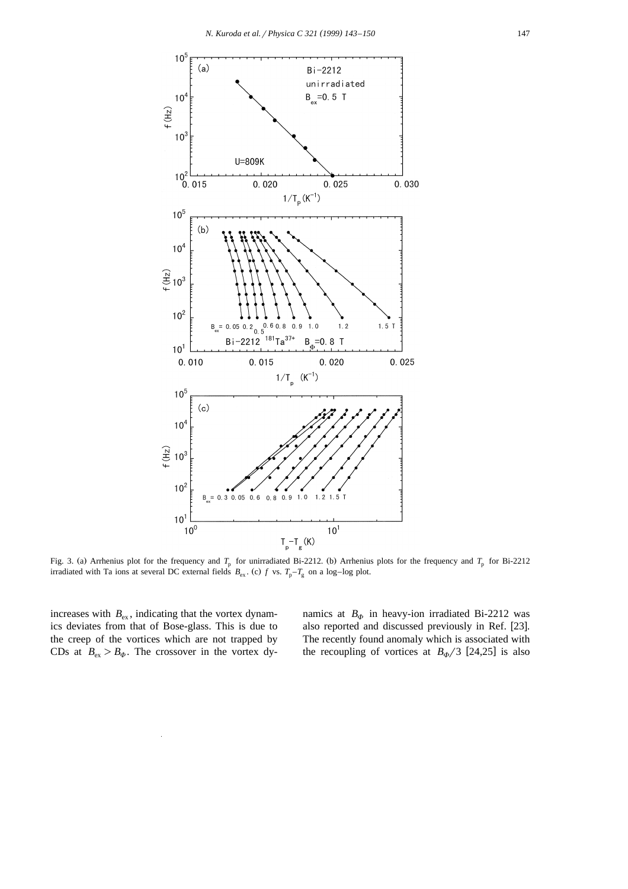

Fig. 3. (a) Arrhenius plot for the frequency and  $T_p$  for unirradiated Bi-2212. (b) Arrhenius plots for the frequency and  $T_p$  for Bi-2212 irradiated with Ta ions at several DC external fields  $B_{\text{ex}}$ . (c) f vs.  $T_p - T_g$  on a log–log plot.

increases with  $B_{\rm ex}$ , indicating that the vortex dynamics deviates from that of Bose-glass. This is due to the creep of the vortices which are not trapped by CDs at  $B_{ex} > B_{\phi}$ . The crossover in the vortex dynamics at  $B_{\phi}$  in heavy-ion irradiated Bi-2212 was also reported and discussed previously in Ref. [23]. The recently found anomaly which is associated with the recoupling of vortices at  $B_{\Phi}/3$  [24,25] is also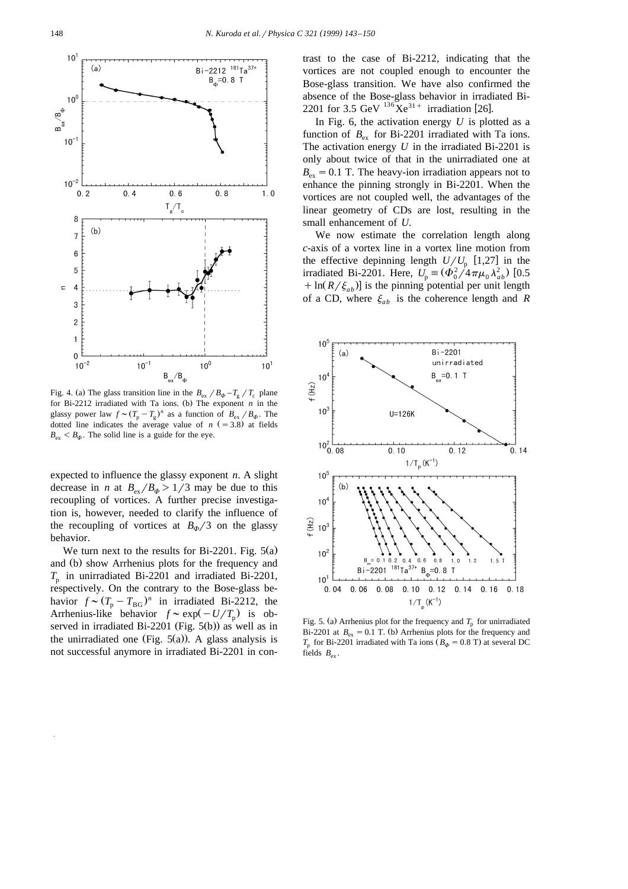

Fig. 4. (a) The glass transition line in the  $B_{\text{ex}}/B_{\phi} - T_{\text{g}}/T_{\text{c}}$  plane for Bi-2212 irradiated with Ta ions. (b) The exponent  $n$  in the glassy power law  $f \sim (T_p - T_g)^n$  as a function of  $B_{ex} / B_{\phi}$ . The dotted line indicates the average value of  $n (=3.8)$  at fields  $B_{\alpha s} < B_{\alpha b}$ . The solid line is a guide for the eye.

expected to influence the glassy exponent *n*. A slight decrease in *n* at  $B_{ex}/B_{\phi} > 1/3$  may be due to this recoupling of vortices. A further precise investigation is, however, needed to clarify the influence of the recoupling of vortices at  $B_{\phi}/3$  on the glassy behavior.

We turn next to the results for Bi-2201. Fig.  $5(a)$ and (b) show Arrhenius plots for the frequency and  $T<sub>p</sub>$  in unirradiated Bi-2201 and irradiated Bi-2201, respectively. On the contrary to the Bose-glass behavior  $f \sim (T_p - T_{BG})^n$  in irradiated Bi-2212, the Arrhenius-like behavior  $f \sim \exp(-U/T_p)$  is observed in irradiated Bi-2201 (Fig.  $5(b)$ ) as well as in the unirradiated one (Fig.  $5(a)$ ). A glass analysis is not successful anymore in irradiated Bi-2201 in contrast to the case of Bi-2212, indicating that the vortices are not coupled enough to encounter the Bose-glass transition. We have also confirmed the absence of the Bose-glass behavior in irradiated Bi-2201 for 3.5 GeV  $^{136}$ Xe<sup>31+</sup> irradiation [26].

In Fig. 6, the activation energy  $U$  is plotted as a function of  $B_{\text{ex}}$  for Bi-2201 irradiated with Ta ions. The activation energy *U* in the irradiated Bi-2201 is only about twice of that in the unirradiated one at  $B_{\text{ex}}=0.1$  T. The heavy-ion irradiation appears not to enhance the pinning strongly in Bi-2201. When the vortices are not coupled well, the advantages of the linear geometry of CDs are lost, resulting in the small enhancement of *U*.

We now estimate the correlation length along *c*-axis of a vortex line in a vortex line motion from the effective depinning length  $U/U_p$  [1,27] in the irradiated Bi-2201. Here,  $U_p \equiv (\Phi_0^2 / 4 \pi \mu_0 \lambda_{ab}^2)$  [0.5]  $+ \ln(R/\xi_{ab})$  is the pinning potential per unit length of a CD, where  $\xi_{ab}$  is the coherence length and *R* 



Fig. 5. (a) Arrhenius plot for the frequency and  $T_p$  for unirradiated Bi-2201 at  $B_{\text{ex}} = 0.1$  T. (b) Arrhenius plots for the frequency and  $T_p$  for Bi-2201 irradiated with Ta ions ( $B_\phi$  = 0.8 T) at several DC fields  $B_{\rm ex}$ .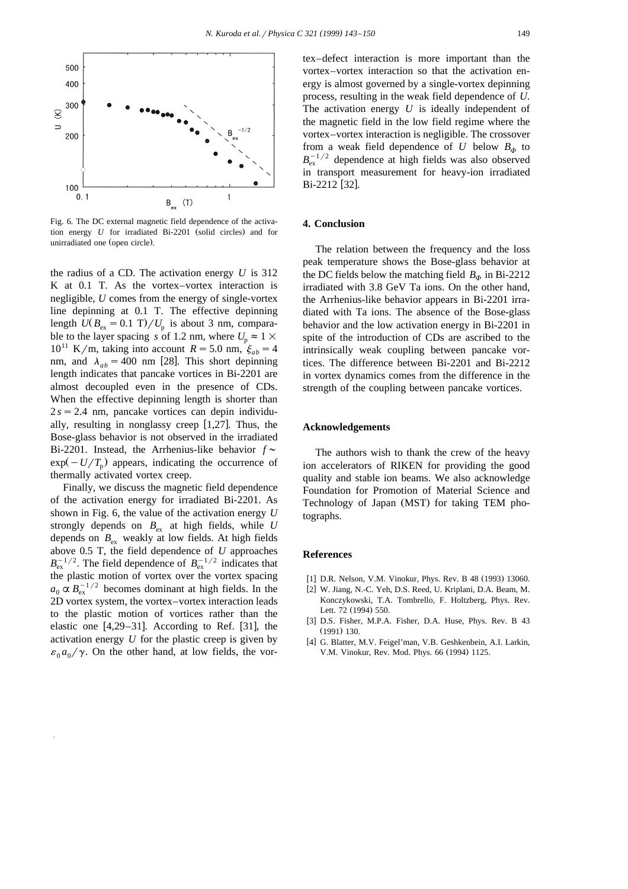

Fig. 6. The DC external magnetic field dependence of the activation energy *U* for irradiated Bi-2201 (solid circles) and for unirradiated one (open circle).

the radius of a CD. The activation energy *U* is 312 K at 0.1 T. As the vortex–vortex interaction is negligible, *U* comes from the energy of single-vortex line depinning at 0.1 T. The effective depinning length  $U(B_{\text{ex}} = 0.1 \text{ T})/U_{\text{p}}$  is about 3 nm, comparable to the layer spacing *s* of 1.2 nm, where  $U_p \approx 1 \times$  $10^{11}$  K/m, taking into account  $R = 5.0$  nm,  $\zeta_{ab} = 4$ nm, and  $\lambda_{ab} = 400$  nm [28]. This short depinning length indicates that pancake vortices in Bi-2201 are almost decoupled even in the presence of CDs. When the effective depinning length is shorter than  $2 s = 2.4$  nm, pancake vortices can depin individually, resulting in nonglassy creep  $[1,27]$ . Thus, the Bose-glass behavior is not observed in the irradiated Bi-2201. Instead, the Arrhenius-like behavior  $f \sim$  $\exp(-U/T_{p})$  appears, indicating the occurrence of thermally activated vortex creep.

Finally, we discuss the magnetic field dependence of the activation energy for irradiated Bi-2201. As shown in Fig. 6, the value of the activation energy *U* strongly depends on  $B_{\text{ex}}$  at high fields, while *U* depends on  $B_{\text{ex}}$  weakly at low fields. At high fields above 0.5 T, the field dependence of *U* approaches  $B_{\text{ex}}^{-1/2}$ . The field dependence of  $B_{\text{ex}}^{-1/2}$  indicates that the plastic motion of vortex over the vortex spacing  $a_0 \propto B_{\text{ex}}^{-1/2}$  becomes dominant at high fields. In the 2D vortex system, the vortex–vortex interaction leads to the plastic motion of vortices rather than the elastic one  $[4,29-31]$ . According to Ref.  $[31]$ , the activation energy *U* for the plastic creep is given by  $\varepsilon_0 a_0 / \gamma$ . On the other hand, at low fields, the vor-

tex–defect interaction is more important than the vortex–vortex interaction so that the activation energy is almost governed by a single-vortex depinning process, resulting in the weak field dependence of *U*. The activation energy *U* is ideally independent of the magnetic field in the low field regime where the vortex–vortex interaction is negligible. The crossover from a weak field dependence of  $U$  below  $B_{\phi}$  to  $B_{\rm ex}^{-1/2}$  dependence at high fields was also observed in transport measurement for heavy-ion irradiated Bi-2212 [32].

## **4. Conclusion**

The relation between the frequency and the loss peak temperature shows the Bose-glass behavior at the DC fields below the matching field  $B_{\phi}$  in Bi-2212 irradiated with 3.8 GeV Ta ions. On the other hand, the Arrhenius-like behavior appears in Bi-2201 irradiated with Ta ions. The absence of the Bose-glass behavior and the low activation energy in Bi-2201 in spite of the introduction of CDs are ascribed to the intrinsically weak coupling between pancake vortices. The difference between Bi-2201 and Bi-2212 in vortex dynamics comes from the difference in the strength of the coupling between pancake vortices.

#### **Acknowledgements**

The authors wish to thank the crew of the heavy ion accelerators of RIKEN for providing the good quality and stable ion beams. We also acknowledge Foundation for Promotion of Material Science and Technology of Japan (MST) for taking TEM photographs.

# **References**

- [1] D.R. Nelson, V.M. Vinokur, Phys. Rev. B 48 (1993) 13060.
- [2] W. Jiang, N.-C. Yeh, D.S. Reed, U. Kriplani, D.A. Beam, M. Konczykowski, T.A. Tombrello, F. Holtzberg, Phys. Rev. Lett. 72 (1994) 550.
- [3] D.S. Fisher, M.P.A. Fisher, D.A. Huse, Phys. Rev. B 43  $(1991)$  130.
- [4] G. Blatter, M.V. Feigel'man, V.B. Geshkenbein, A.I. Larkin, V.M. Vinokur, Rev. Mod. Phys. 66 (1994) 1125.